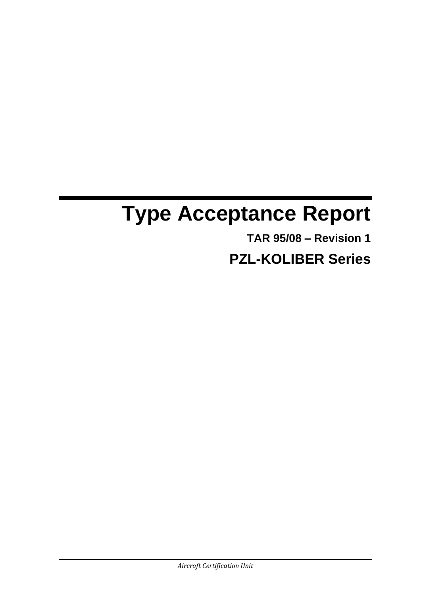# **Type Acceptance Report**

**TAR 95/08 – Revision 1**

**PZL-KOLIBER Series**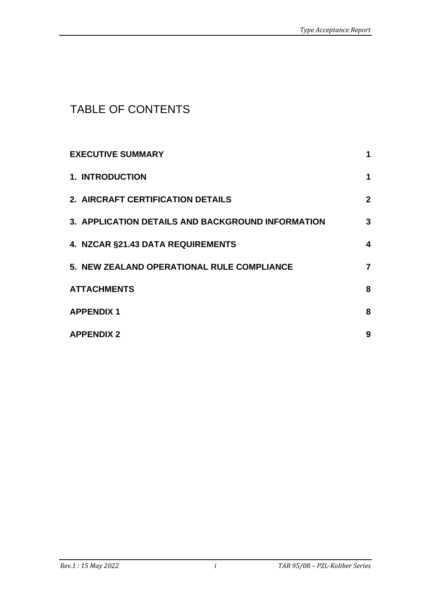## TABLE OF CONTENTS

| <b>EXECUTIVE SUMMARY</b>                          | 1                |
|---------------------------------------------------|------------------|
| <b>1. INTRODUCTION</b>                            | 1                |
| 2. AIRCRAFT CERTIFICATION DETAILS                 | $\boldsymbol{2}$ |
| 3. APPLICATION DETAILS AND BACKGROUND INFORMATION | 3                |
| 4. NZCAR §21.43 DATA REQUIREMENTS                 | 4                |
| 5. NEW ZEALAND OPERATIONAL RULE COMPLIANCE        | $\overline{7}$   |
| <b>ATTACHMENTS</b>                                | 8                |
| <b>APPENDIX1</b>                                  | 8                |
| <b>APPENDIX 2</b>                                 | 9                |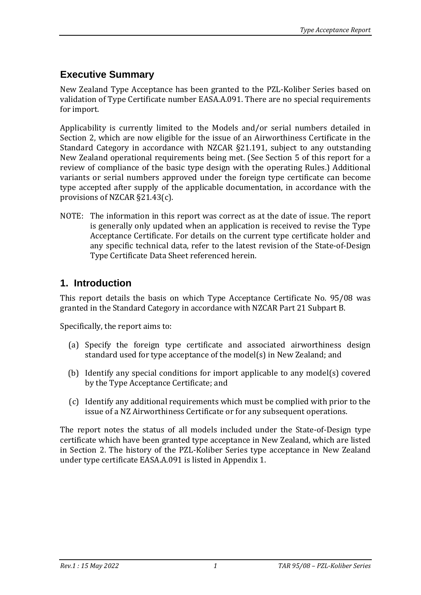## **Executive Summary**

New Zealand Type Acceptance has been granted to the PZL-Koliber Series based on validation of Type Certificate number EASA.A.091. There are no special requirements for import.

Applicability is currently limited to the Models and/or serial numbers detailed in Section 2, which are now eligible for the issue of an Airworthiness Certificate in the Standard Category in accordance with NZCAR §21.191, subject to any outstanding New Zealand operational requirements being met. (See Section 5 of this report for a review of compliance of the basic type design with the operating Rules.) Additional variants or serial numbers approved under the foreign type certificate can become type accepted after supply of the applicable documentation, in accordance with the provisions of NZCAR §21.43(c).

NOTE: The information in this report was correct as at the date of issue. The report is generally only updated when an application is received to revise the Type Acceptance Certificate. For details on the current type certificate holder and any specific technical data, refer to the latest revision of the State-of-Design Type Certificate Data Sheet referenced herein.

### **1. Introduction**

This report details the basis on which Type Acceptance Certificate No. 95/08 was granted in the Standard Category in accordance with NZCAR Part 21 Subpart B.

Specifically, the report aims to:

- (a) Specify the foreign type certificate and associated airworthiness design standard used for type acceptance of the model(s) in New Zealand; and
- (b) Identify any special conditions for import applicable to any model(s) covered by the Type Acceptance Certificate; and
- (c) Identify any additional requirements which must be complied with prior to the issue of a NZ Airworthiness Certificate or for any subsequent operations.

The report notes the status of all models included under the State-of-Design type certificate which have been granted type acceptance in New Zealand, which are listed in Section 2. The history of the PZL-Koliber Series type acceptance in New Zealand under type certificate EASA.A.091 is listed in Appendix 1.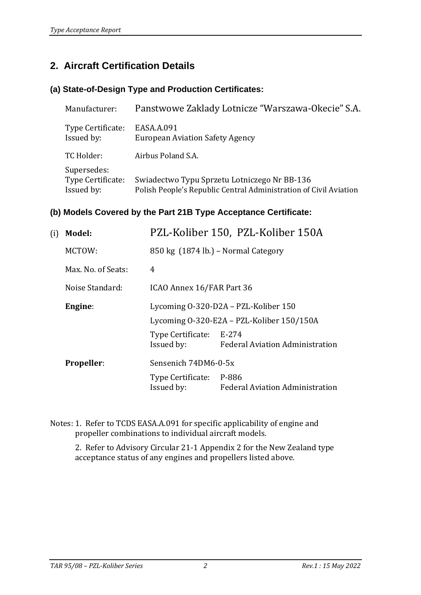## **2. Aircraft Certification Details**

#### **(a) State-of-Design Type and Production Certificates:**

| Manufacturer:                                  | Panstwowe Zaklady Lotnicze "Warszawa-Okecie" S.A.                                                                 |
|------------------------------------------------|-------------------------------------------------------------------------------------------------------------------|
| Type Certificate:<br>Issued by:                | EASA.A.091<br><b>European Aviation Safety Agency</b>                                                              |
| TC Holder:                                     | Airbus Poland S.A.                                                                                                |
| Supersedes:<br>Type Certificate:<br>Issued by: | Swiadectwo Typu Sprzetu Lotniczego Nr BB-136<br>Polish People's Republic Central Administration of Civil Aviation |

#### **(b) Models Covered by the Part 21B Type Acceptance Certificate:**

| Model:             |                                           | PZL-Koliber 150, PZL-Koliber 150A                  |  |
|--------------------|-------------------------------------------|----------------------------------------------------|--|
| MCTOW:             | 850 kg (1874 lb.) – Normal Category       |                                                    |  |
| Max. No. of Seats: | $\overline{4}$                            |                                                    |  |
| Noise Standard:    | ICAO Annex 16/FAR Part 36                 |                                                    |  |
| Engine:            | Lycoming 0-320-D2A – PZL-Koliber 150      |                                                    |  |
|                    | Lycoming 0-320-E2A – PZL-Koliber 150/150A |                                                    |  |
|                    | Issued by:                                | <b>Federal Aviation Administration</b>             |  |
| <b>Propeller:</b>  | Sensenich 74DM6-0-5x                      |                                                    |  |
|                    | Issued by:                                | <b>Federal Aviation Administration</b>             |  |
|                    |                                           | Type Certificate: E-274<br>Type Certificate: P-886 |  |

Notes: 1. Refer to TCDS EASA.A.091 for specific applicability of engine and propeller combinations to individual aircraft models.

2. Refer to Advisory Circular 21-1 Appendix 2 for the New Zealand type acceptance status of any engines and propellers listed above.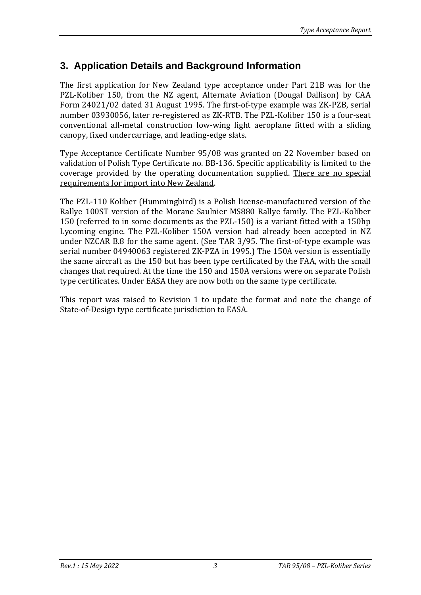## **3. Application Details and Background Information**

The first application for New Zealand type acceptance under Part 21B was for the PZL-Koliber 150, from the NZ agent, Alternate Aviation (Dougal Dallison) by CAA Form 24021/02 dated 31 August 1995. The first-of-type example was ZK-PZB, serial number 03930056, later re-registered as ZK-RTB. The PZL-Koliber 150 is a four-seat conventional all-metal construction low-wing light aeroplane fitted with a sliding canopy, fixed undercarriage, and leading-edge slats.

Type Acceptance Certificate Number 95/08 was granted on 22 November based on validation of Polish Type Certificate no. BB-136. Specific applicability is limited to the coverage provided by the operating documentation supplied. There are no special requirements for import into New Zealand.

The PZL-110 Koliber (Hummingbird) is a Polish license-manufactured version of the Rallye 100ST version of the Morane Saulnier MS880 Rallye family. The PZL-Koliber 150 (referred to in some documents as the PZL-150) is a variant fitted with a 150hp Lycoming engine. The PZL-Koliber 150A version had already been accepted in NZ under NZCAR B.8 for the same agent. (See TAR 3/95. The first-of-type example was serial number 04940063 registered ZK-PZA in 1995.) The 150A version is essentially the same aircraft as the 150 but has been type certificated by the FAA, with the small changes that required. At the time the 150 and 150A versions were on separate Polish type certificates. Under EASA they are now both on the same type certificate.

This report was raised to Revision 1 to update the format and note the change of State-of-Design type certificate jurisdiction to EASA.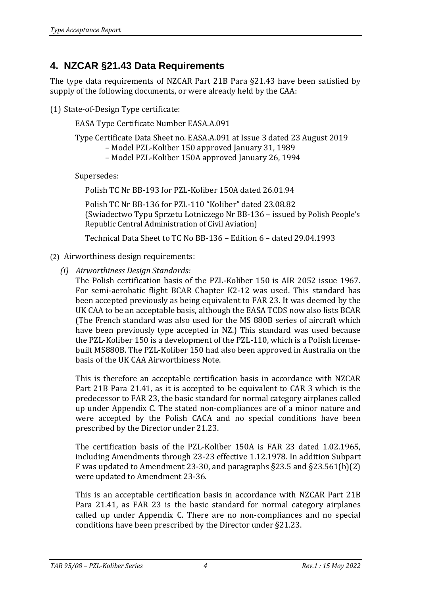## **4. NZCAR §21.43 Data Requirements**

The type data requirements of NZCAR Part 21B Para §21.43 have been satisfied by supply of the following documents, or were already held by the CAA:

(1) State-of-Design Type certificate:

EASA Type Certificate Number EASA.A.091

Type Certificate Data Sheet no. EASA.A.091 at Issue 3 dated 23 August 2019

- Model PZL-Koliber 150 approved January 31, 1989
- Model PZL-Koliber 150A approved January 26, 1994

Supersedes:

Polish TC Nr BB-193 for PZL-Koliber 150A dated 26.01.94

Polish TC Nr BB-136 for PZL-110 "Koliber" dated 23.08.82 (Swiadectwo Typu Sprzetu Lotniczego Nr BB-136 – issued by Polish People's Republic Central Administration of Civil Aviation)

Technical Data Sheet to TC No BB-136 – Edition 6 – dated 29.04.1993

- (2) Airworthiness design requirements:
	- *(i) Airworthiness Design Standards:*

The Polish certification basis of the PZL-Koliber 150 is AIR 2052 issue 1967. For semi-aerobatic flight BCAR Chapter K2-12 was used. This standard has been accepted previously as being equivalent to FAR 23. It was deemed by the UK CAA to be an acceptable basis, although the EASA TCDS now also lists BCAR (The French standard was also used for the MS 880B series of aircraft which have been previously type accepted in NZ.) This standard was used because the PZL-Koliber 150 is a development of the PZL-110, which is a Polish licensebuilt MS880B. The PZL-Koliber 150 had also been approved in Australia on the basis of the UK CAA Airworthiness Note.

This is therefore an acceptable certification basis in accordance with NZCAR Part 21B Para 21.41, as it is accepted to be equivalent to CAR 3 which is the predecessor to FAR 23, the basic standard for normal category airplanes called up under Appendix C. The stated non-compliances are of a minor nature and were accepted by the Polish CACA and no special conditions have been prescribed by the Director under 21.23.

The certification basis of the PZL-Koliber 150A is FAR 23 dated 1.02.1965, including Amendments through 23-23 effective 1.12.1978. In addition Subpart F was updated to Amendment 23-30, and paragraphs §23.5 and §23.561(b)(2) were updated to Amendment 23-36.

This is an acceptable certification basis in accordance with NZCAR Part 21B Para 21.41, as FAR 23 is the basic standard for normal category airplanes called up under Appendix C. There are no non-compliances and no special conditions have been prescribed by the Director under §21.23.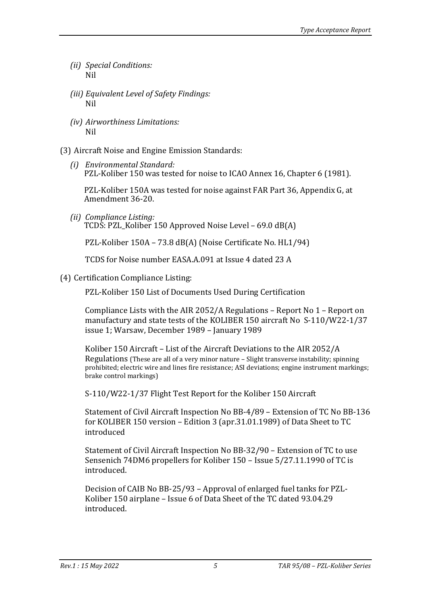- *(ii) Special Conditions:* Nil
- *(iii) Equivalent Level of Safety Findings:* Nil
- *(iv) Airworthiness Limitations:* Nil

(3) Aircraft Noise and Engine Emission Standards:

*(i) Environmental Standard:* PZL-Koliber 150 was tested for noise to ICAO Annex 16, Chapter 6 (1981).

PZL-Koliber 150A was tested for noise against FAR Part 36, Appendix G, at Amendment 36-20.

*(ii) Compliance Listing:* TCDS: PZL\_Koliber 150 Approved Noise Level – 69.0 dB(A)

PZL-Koliber 150A – 73.8 dB(A) (Noise Certificate No. HL1/94)

TCDS for Noise number EASA.A.091 at Issue 4 dated 23 A

(4) Certification Compliance Listing:

PZL-Koliber 150 List of Documents Used During Certification

Compliance Lists with the AIR 2052/A Regulations – Report No 1 – Report on manufactury and state tests of the KOLIBER 150 aircraft No S-110/W22-1/37 issue 1; Warsaw, December 1989 – January 1989

Koliber 150 Aircraft – List of the Aircraft Deviations to the AIR 2052/A Regulations (These are all of a very minor nature – Slight transverse instability; spinning prohibited; electric wire and lines fire resistance; ASI deviations; engine instrument markings; brake control markings)

S-110/W22-1/37 Flight Test Report for the Koliber 150 Aircraft

Statement of Civil Aircraft Inspection No BB-4/89 – Extension of TC No BB-136 for KOLIBER 150 version – Edition 3 (apr.31.01.1989) of Data Sheet to TC introduced

Statement of Civil Aircraft Inspection No BB-32/90 – Extension of TC to use Sensenich 74DM6 propellers for Koliber 150 – Issue 5/27.11.1990 of TC is introduced.

Decision of CAIB No BB-25/93 – Approval of enlarged fuel tanks for PZL-Koliber 150 airplane – Issue 6 of Data Sheet of the TC dated 93.04.29 introduced.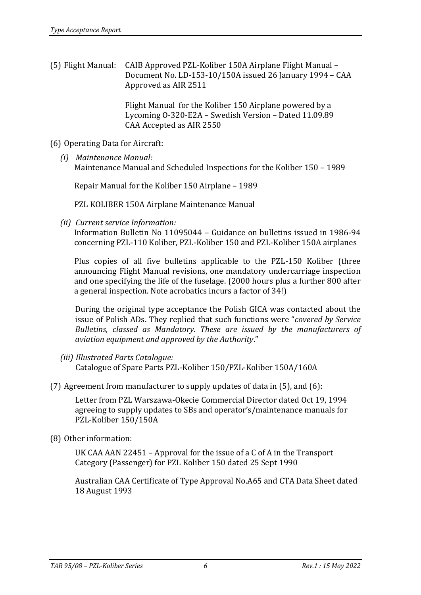(5) Flight Manual: CAIB Approved PZL-Koliber 150A Airplane Flight Manual – Document No. LD-153-10/150A issued 26 January 1994 – CAA Approved as AIR 2511

> Flight Manual for the Koliber 150 Airplane powered by a Lycoming O-320-E2A – Swedish Version – Dated 11.09.89 CAA Accepted as AIR 2550

- (6) Operating Data for Aircraft:
	- *(i) Maintenance Manual:* Maintenance Manual and Scheduled Inspections for the Koliber 150 – 1989

Repair Manual for the Koliber 150 Airplane – 1989

PZL KOLIBER 150A Airplane Maintenance Manual

*(ii) Current service Information:*

Information Bulletin No 11095044 – Guidance on bulletins issued in 1986-94 concerning PZL-110 Koliber, PZL-Koliber 150 and PZL-Koliber 150A airplanes

Plus copies of all five bulletins applicable to the PZL-150 Koliber (three announcing Flight Manual revisions, one mandatory undercarriage inspection and one specifying the life of the fuselage. (2000 hours plus a further 800 after a general inspection. Note acrobatics incurs a factor of 34!)

During the original type acceptance the Polish GICA was contacted about the issue of Polish ADs. They replied that such functions were "*covered by Service Bulletins, classed as Mandatory. These are issued by the manufacturers of aviation equipment and approved by the Authority*."

- *(iii) Illustrated Parts Catalogue:* Catalogue of Spare Parts PZL-Koliber 150/PZL-Koliber 150A/160A
- (7) Agreement from manufacturer to supply updates of data in (5), and (6):

Letter from PZL Warszawa-Okecie Commercial Director dated Oct 19, 1994 agreeing to supply updates to SBs and operator's/maintenance manuals for PZL-Koliber 150/150A

(8) Other information:

UK CAA AAN 22451 – Approval for the issue of a C of A in the Transport Category (Passenger) for PZL Koliber 150 dated 25 Sept 1990

Australian CAA Certificate of Type Approval No.A65 and CTA Data Sheet dated 18 August 1993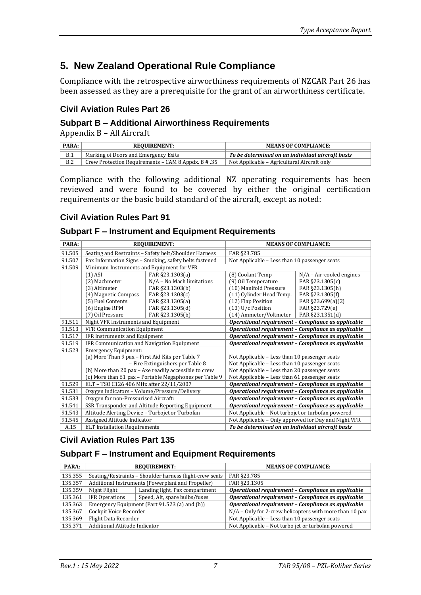## **5. New Zealand Operational Rule Compliance**

Compliance with the retrospective airworthiness requirements of NZCAR Part 26 has been assessed as they are a prerequisite for the grant of an airworthiness certificate.

#### **Civil Aviation Rules Part 26**

#### **Subpart B – Additional Airworthiness Requirements**

Appendix B – All Aircraft

| PARA: | <b>REOUIREMENT:</b>                                    | <b>MEANS OF COMPLIANCE:</b>                      |
|-------|--------------------------------------------------------|--------------------------------------------------|
| B.1   | Marking of Doors and Emergency Exits                   | To be determined on an individual aircraft basis |
| B.2   | Crew Protection Requirements – CAM 8 Appdx. $B \# .35$ | Not Applicable – Agricultural Aircraft only      |

Compliance with the following additional NZ operating requirements has been reviewed and were found to be covered by either the original certification requirements or the basic build standard of the aircraft, except as noted:

#### **Civil Aviation Rules Part 91**

#### **Subpart F – Instrument and Equipment Requirements**

| PARA:  | <b>REQUIREMENT:</b>                                    |                           | <b>MEANS OF COMPLIANCE:</b>                          |                            |
|--------|--------------------------------------------------------|---------------------------|------------------------------------------------------|----------------------------|
| 91.505 | Seating and Restraints - Safety belt/Shoulder Harness  |                           | FAR §23.785                                          |                            |
| 91.507 | Pax Information Signs - Smoking, safety belts fastened |                           | Not Applicable – Less than 10 passenger seats        |                            |
| 91.509 | Minimum Instruments and Equipment for VFR              |                           |                                                      |                            |
|        | $(1)$ ASI                                              | FAR §23.1303(a)           | (8) Coolant Temp                                     | $N/A$ – Air-cooled engines |
|        | (2) Machmeter                                          | N/A - No Mach limitations | (9) Oil Temperature                                  | FAR §23.1305(c)            |
|        | (3) Altimeter                                          | FAR §23.1303(b)           | (10) Manifold Pressure                               | FAR §23.1305(h)            |
|        | (4) Magnetic Compass                                   | FAR §23.1303(c)           | (11) Cylinder Head Temp.                             | FAR §23.1305(f)            |
|        | (5) Fuel Contents                                      | FAR §23.1305(a)           | (12) Flap Position                                   | FAR §23.699(a)(2)          |
|        | (6) Engine RPM                                         | FAR §23.1305(d)           | $(13)$ U/c Position                                  | FAR §23.729(e)             |
|        | (7) Oil Pressure                                       | FAR §23.1305(b)           | (14) Ammeter/Voltmeter                               | FAR §23.1351(d)            |
| 91.511 | Night VFR Instruments and Equipment                    |                           | Operational requirement - Compliance as applicable   |                            |
| 91.513 | <b>VFR Communication Equipment</b>                     |                           | Operational requirement - Compliance as applicable   |                            |
| 91.517 | IFR Instruments and Equipment                          |                           | Operational requirement - Compliance as applicable   |                            |
| 91.519 | IFR Communication and Navigation Equipment             |                           | Operational requirement - Compliance as applicable   |                            |
| 91.523 | <b>Emergency Equipment:</b>                            |                           |                                                      |                            |
|        | (a) More Than 9 pax - First Aid Kits per Table 7       |                           | Not Applicable – Less than 10 passenger seats        |                            |
|        | - Fire Extinguishers per Table 8                       |                           | Not Applicable - Less than 10 passenger seats        |                            |
|        | (b) More than 20 pax - Axe readily accessible to crew  |                           | Not Applicable - Less than 20 passenger seats        |                            |
|        | (c) More than 61 pax - Portable Megaphones per Table 9 |                           | Not Applicable - Less than 61 passenger seats        |                            |
| 91.529 | ELT - TSO C126 406 MHz after 22/11/2007                |                           | Operational requirement - Compliance as applicable   |                            |
| 91.531 | Oxygen Indicators - Volume/Pressure/Delivery           |                           | Operational requirement - Compliance as applicable   |                            |
| 91.533 | Oxygen for non-Pressurised Aircraft:                   |                           | Operational requirement - Compliance as applicable   |                            |
| 91.541 | SSR Transponder and Altitude Reporting Equipment       |                           | Operational requirement - Compliance as applicable   |                            |
| 91.543 | Altitude Alerting Device - Turbojet or Turbofan        |                           | Not Applicable - Not turbojet or turbofan powered    |                            |
| 91.545 | Assigned Altitude Indicator                            |                           | Not Applicable – Only approved for Day and Night VFR |                            |
| A.15   | <b>ELT Installation Requirements</b>                   |                           | To be determined on an individual aircraft basis     |                            |

#### **Civil Aviation Rules Part 135**

#### **Subpart F – Instrument and Equipment Requirements**

| PARA:   | <b>REOUIREMENT:</b>                                     |                                | <b>MEANS OF COMPLIANCE:</b>                             |  |
|---------|---------------------------------------------------------|--------------------------------|---------------------------------------------------------|--|
| 135.355 | Seating/Restraints - Shoulder harness flight-crew seats |                                | FAR §23.785                                             |  |
| 135.357 | Additional Instruments (Powerplant and Propeller)       |                                | FAR §23.1305                                            |  |
| 135.359 | Night Flight                                            | Landing light, Pax compartment | Operational requirement - Compliance as applicable      |  |
| 135.361 | <b>IFR Operations</b>                                   | Speed, Alt, spare bulbs/fuses  | Operational requirement - Compliance as applicable      |  |
| 135.363 | Emergency Equipment (Part 91.523 (a) and (b))           |                                | Operational requirement - Compliance as applicable      |  |
| 135.367 | Cockpit Voice Recorder                                  |                                | N/A - Only for 2-crew helicopters with more than 10 pax |  |
| 135.369 | Flight Data Recorder                                    |                                | Not Applicable – Less than 10 passenger seats           |  |
| 135.371 | Additional Attitude Indicator                           |                                | Not Applicable - Not turbo jet or turbofan powered      |  |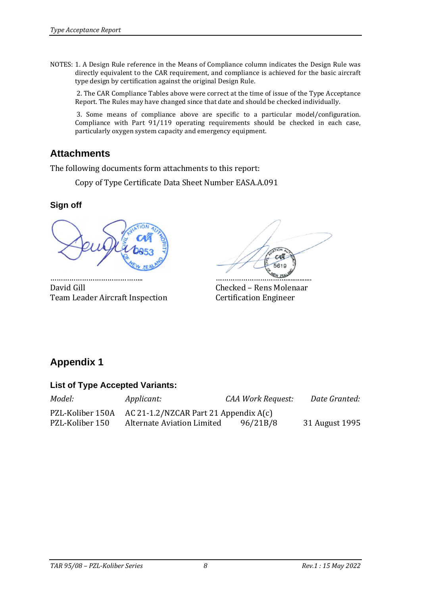NOTES: 1. A Design Rule reference in the Means of Compliance column indicates the Design Rule was directly equivalent to the CAR requirement, and compliance is achieved for the basic aircraft type design by certification against the original Design Rule.

2. The CAR Compliance Tables above were correct at the time of issue of the Type Acceptance Report. The Rules may have changed since that date and should be checked individually.

3. Some means of compliance above are specific to a particular model/configuration. Compliance with Part 91/119 operating requirements should be checked in each case, particularly oxygen system capacity and emergency equipment.

## **Attachments**

The following documents form attachments to this report:

Copy of Type Certificate Data Sheet Number EASA.A.091

#### **Sign off**



David Gill Checked – Rens Molenaar Team Leader Aircraft Inspection Certification Engineer

…………………………………….. ……………………………...............

## **Appendix 1**

#### **List of Type Accepted Variants:**

| Model:           | <i>Applicant:</i>                       | CAA Work Request: | Date Granted:  |
|------------------|-----------------------------------------|-------------------|----------------|
| PZL-Koliber 150A | AC 21-1.2/NZCAR Part 21 Appendix $A(c)$ |                   |                |
| PZL-Koliber 150  | Alternate Aviation Limited              | 96/21B/8          | 31 August 1995 |